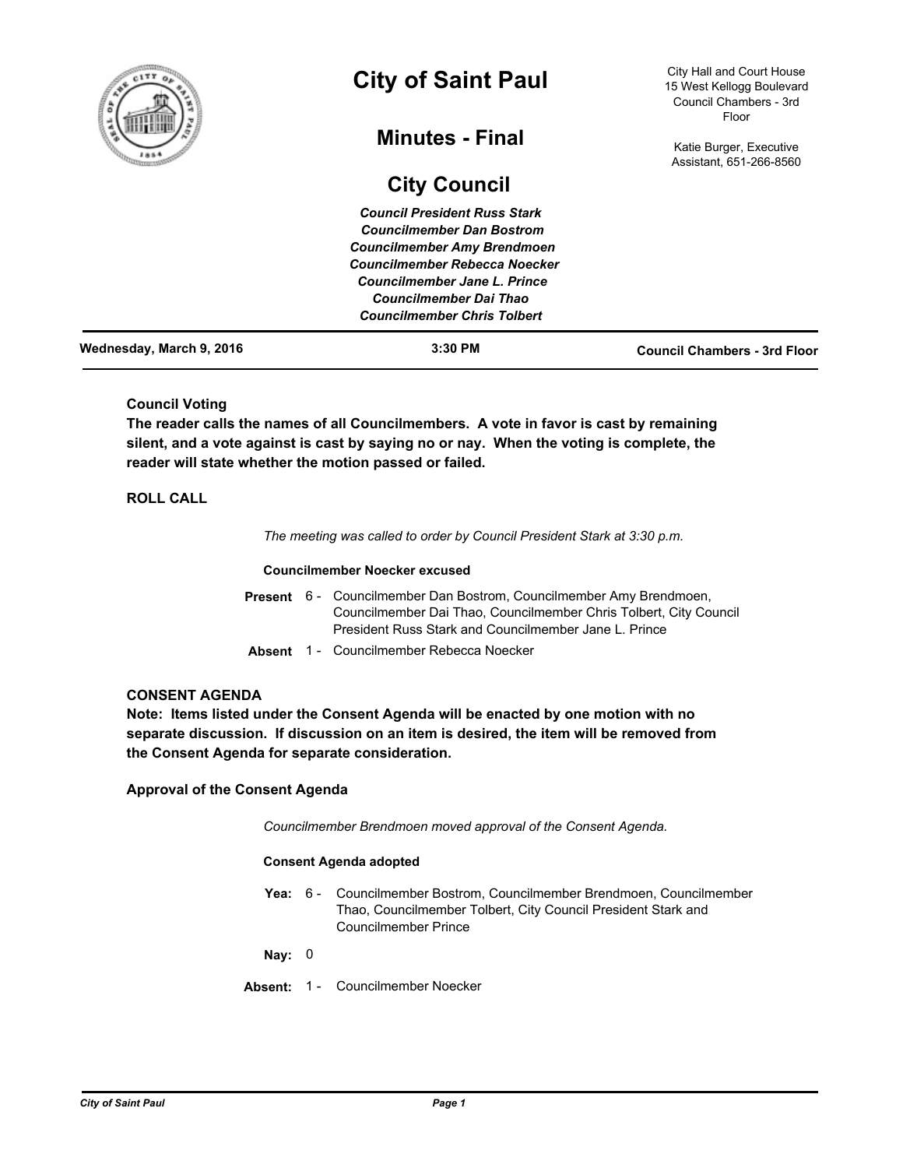

# **City of Saint Paul**

# **Minutes - Final**

# **City Council**

City Hall and Court House 15 West Kellogg Boulevard Council Chambers - 3rd Floor

Katie Burger, Executive Assistant, 651-266-8560

| Wednesday, March 9, 2016 | $3:30$ PM                           | <b>Council Chambers - 3rd Floor</b> |
|--------------------------|-------------------------------------|-------------------------------------|
|                          | <b>Councilmember Chris Tolbert</b>  |                                     |
|                          | <b>Councilmember Dai Thao</b>       |                                     |
|                          | Councilmember Jane L. Prince        |                                     |
|                          | Councilmember Rebecca Noecker       |                                     |
|                          | <b>Councilmember Amy Brendmoen</b>  |                                     |
|                          | <b>Councilmember Dan Bostrom</b>    |                                     |
|                          | <b>Council President Russ Stark</b> |                                     |

# **Council Voting**

**The reader calls the names of all Councilmembers. A vote in favor is cast by remaining silent, and a vote against is cast by saying no or nay. When the voting is complete, the reader will state whether the motion passed or failed.**

# **ROLL CALL**

*The meeting was called to order by Council President Stark at 3:30 p.m.*

#### **Councilmember Noecker excused**

- Present 6 Councilmember Dan Bostrom, Councilmember Amy Brendmoen, Councilmember Dai Thao, Councilmember Chris Tolbert, City Council President Russ Stark and Councilmember Jane L. Prince
- **Absent** 1 Councilmember Rebecca Noecker

### **CONSENT AGENDA**

**Note: Items listed under the Consent Agenda will be enacted by one motion with no separate discussion. If discussion on an item is desired, the item will be removed from the Consent Agenda for separate consideration.**

**Approval of the Consent Agenda**

*Councilmember Brendmoen moved approval of the Consent Agenda.*

#### **Consent Agenda adopted**

Yea: 6 - Councilmember Bostrom, Councilmember Brendmoen, Councilmember Thao, Councilmember Tolbert, City Council President Stark and Councilmember Prince

**Nay:** 0

**Absent:** 1 - Councilmember Noecker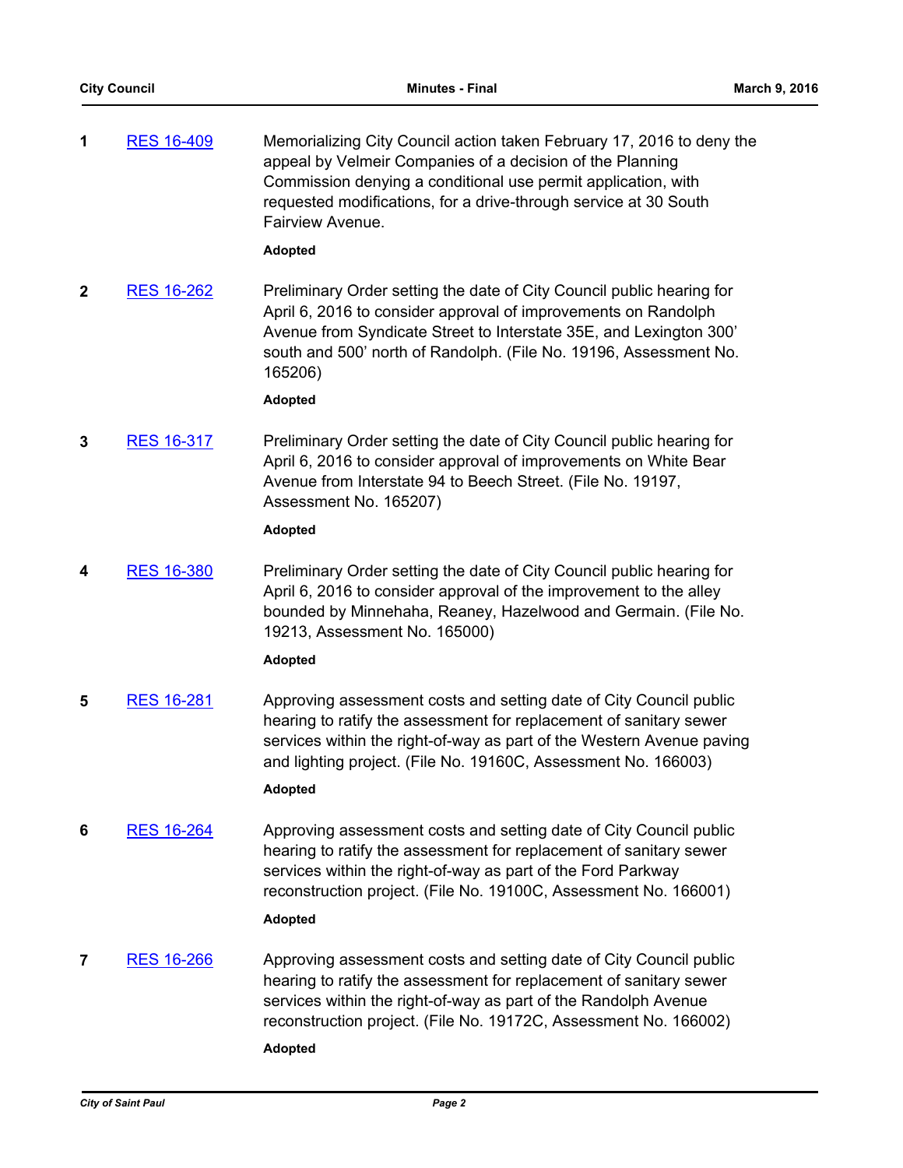**1** [RES 16-409](http://stpaul.legistar.com/gateway.aspx?m=l&id=/matter.aspx?key=21084) Memorializing City Council action taken February 17, 2016 to deny the appeal by Velmeir Companies of a decision of the Planning Commission denying a conditional use permit application, with requested modifications, for a drive-through service at 30 South Fairview Avenue.

# **Adopted**

**2** [RES 16-262](http://stpaul.legistar.com/gateway.aspx?m=l&id=/matter.aspx?key=20880) Preliminary Order setting the date of City Council public hearing for April 6, 2016 to consider approval of improvements on Randolph Avenue from Syndicate Street to Interstate 35E, and Lexington 300' south and 500' north of Randolph. (File No. 19196, Assessment No. 165206)

## **Adopted**

**3** [RES 16-317](http://stpaul.legistar.com/gateway.aspx?m=l&id=/matter.aspx?key=20960) Preliminary Order setting the date of City Council public hearing for April 6, 2016 to consider approval of improvements on White Bear Avenue from Interstate 94 to Beech Street. (File No. 19197, Assessment No. 165207)

## **Adopted**

**4** [RES 16-380](http://stpaul.legistar.com/gateway.aspx?m=l&id=/matter.aspx?key=21037) Preliminary Order setting the date of City Council public hearing for April 6, 2016 to consider approval of the improvement to the alley bounded by Minnehaha, Reaney, Hazelwood and Germain. (File No. 19213, Assessment No. 165000)

#### **Adopted**

**5** [RES 16-281](http://stpaul.legistar.com/gateway.aspx?m=l&id=/matter.aspx?key=20907) Approving assessment costs and setting date of City Council public hearing to ratify the assessment for replacement of sanitary sewer services within the right-of-way as part of the Western Avenue paving and lighting project. (File No. 19160C, Assessment No. 166003) **Adopted**

# **6** [RES 16-264](http://stpaul.legistar.com/gateway.aspx?m=l&id=/matter.aspx?key=20882) Approving assessment costs and setting date of City Council public

hearing to ratify the assessment for replacement of sanitary sewer services within the right-of-way as part of the Ford Parkway reconstruction project. (File No. 19100C, Assessment No. 166001)

# **Adopted**

**7** [RES 16-266](http://stpaul.legistar.com/gateway.aspx?m=l&id=/matter.aspx?key=20884) Approving assessment costs and setting date of City Council public hearing to ratify the assessment for replacement of sanitary sewer services within the right-of-way as part of the Randolph Avenue reconstruction project. (File No. 19172C, Assessment No. 166002)

#### **Adopted**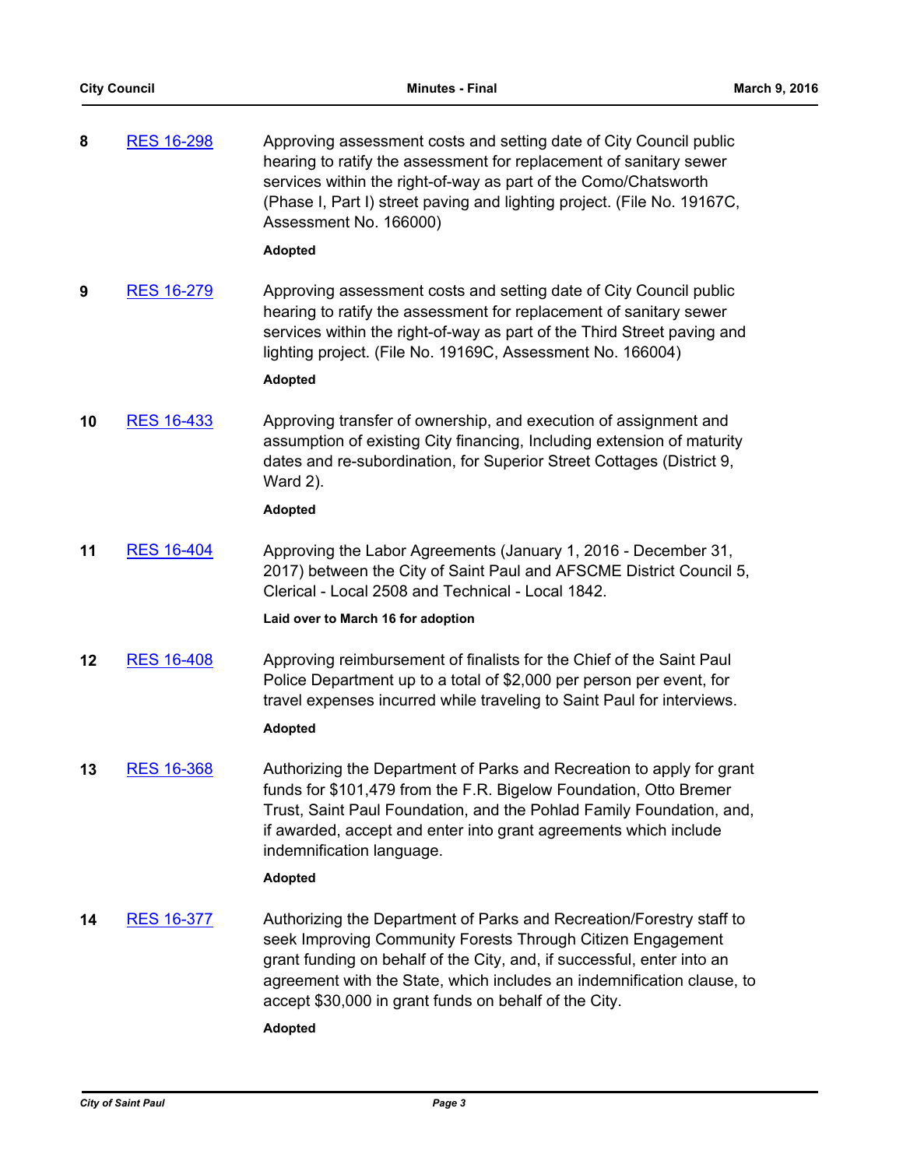| 8  | <b>RES 16-298</b> | Approving assessment costs and setting date of City Council public<br>hearing to ratify the assessment for replacement of sanitary sewer<br>services within the right-of-way as part of the Como/Chatsworth<br>(Phase I, Part I) street paving and lighting project. (File No. 19167C,<br>Assessment No. 166000)                                                   |
|----|-------------------|--------------------------------------------------------------------------------------------------------------------------------------------------------------------------------------------------------------------------------------------------------------------------------------------------------------------------------------------------------------------|
|    |                   | <b>Adopted</b>                                                                                                                                                                                                                                                                                                                                                     |
| 9  | <b>RES 16-279</b> | Approving assessment costs and setting date of City Council public<br>hearing to ratify the assessment for replacement of sanitary sewer<br>services within the right-of-way as part of the Third Street paving and<br>lighting project. (File No. 19169C, Assessment No. 166004)                                                                                  |
|    |                   | <b>Adopted</b>                                                                                                                                                                                                                                                                                                                                                     |
| 10 | <b>RES 16-433</b> | Approving transfer of ownership, and execution of assignment and<br>assumption of existing City financing, Including extension of maturity<br>dates and re-subordination, for Superior Street Cottages (District 9,<br>Ward 2).                                                                                                                                    |
|    |                   | <b>Adopted</b>                                                                                                                                                                                                                                                                                                                                                     |
| 11 | <b>RES 16-404</b> | Approving the Labor Agreements (January 1, 2016 - December 31,<br>2017) between the City of Saint Paul and AFSCME District Council 5,<br>Clerical - Local 2508 and Technical - Local 1842.                                                                                                                                                                         |
|    |                   | Laid over to March 16 for adoption                                                                                                                                                                                                                                                                                                                                 |
| 12 | <b>RES 16-408</b> | Approving reimbursement of finalists for the Chief of the Saint Paul<br>Police Department up to a total of \$2,000 per person per event, for<br>travel expenses incurred while traveling to Saint Paul for interviews.<br><b>Adopted</b>                                                                                                                           |
| 13 | <b>RES 16-368</b> | Authorizing the Department of Parks and Recreation to apply for grant<br>funds for \$101,479 from the F.R. Bigelow Foundation, Otto Bremer<br>Trust, Saint Paul Foundation, and the Pohlad Family Foundation, and,<br>if awarded, accept and enter into grant agreements which include<br>indemnification language.<br><b>Adopted</b>                              |
| 14 | <b>RES 16-377</b> | Authorizing the Department of Parks and Recreation/Forestry staff to<br>seek Improving Community Forests Through Citizen Engagement<br>grant funding on behalf of the City, and, if successful, enter into an<br>agreement with the State, which includes an indemnification clause, to<br>accept \$30,000 in grant funds on behalf of the City.<br><b>Adopted</b> |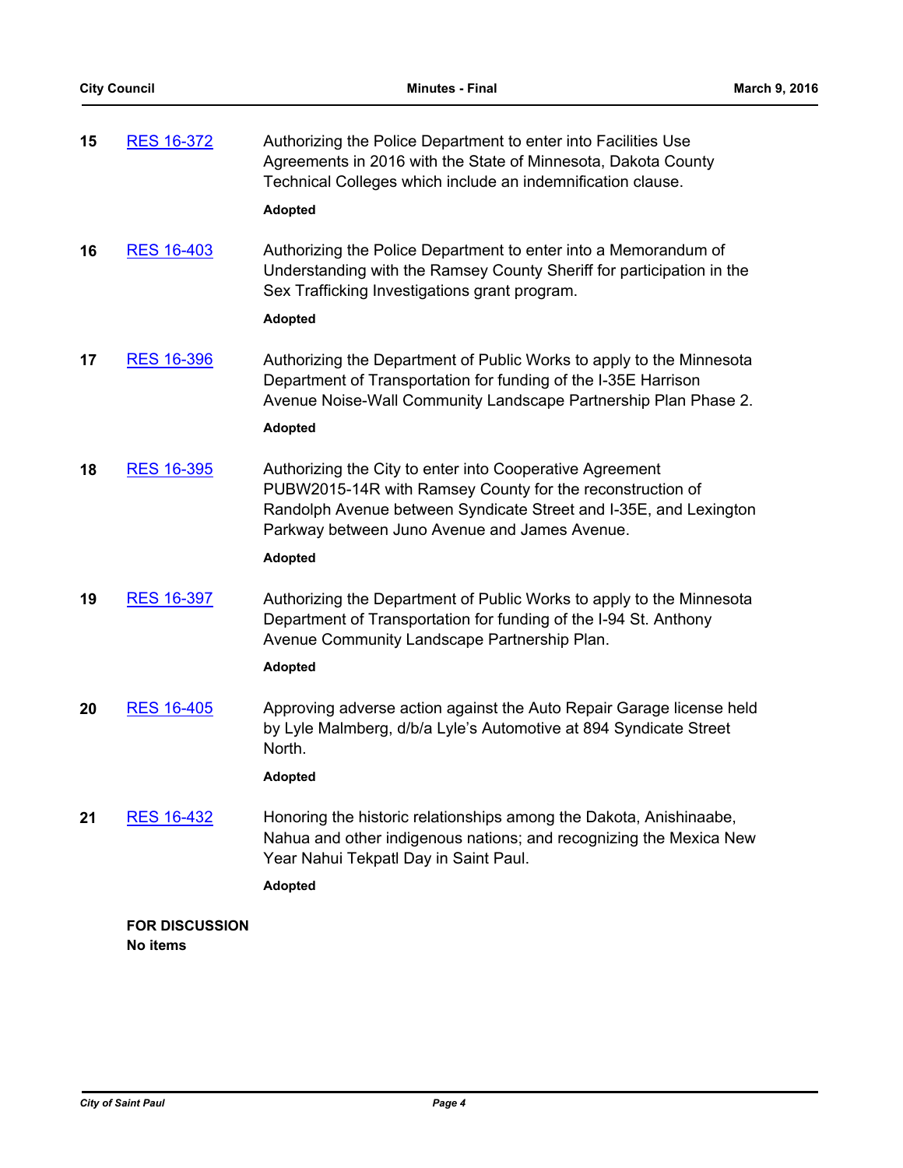| 15 | RES 16-372                        | Authorizing the Police Department to enter into Facilities Use<br>Agreements in 2016 with the State of Minnesota, Dakota County<br>Technical Colleges which include an indemnification clause.<br><b>Adopted</b>                                              |
|----|-----------------------------------|---------------------------------------------------------------------------------------------------------------------------------------------------------------------------------------------------------------------------------------------------------------|
| 16 | <b>RES 16-403</b>                 | Authorizing the Police Department to enter into a Memorandum of<br>Understanding with the Ramsey County Sheriff for participation in the<br>Sex Trafficking Investigations grant program.<br><b>Adopted</b>                                                   |
| 17 | <b>RES 16-396</b>                 | Authorizing the Department of Public Works to apply to the Minnesota<br>Department of Transportation for funding of the I-35E Harrison<br>Avenue Noise-Wall Community Landscape Partnership Plan Phase 2.<br><b>Adopted</b>                                   |
| 18 | <b>RES 16-395</b>                 | Authorizing the City to enter into Cooperative Agreement<br>PUBW2015-14R with Ramsey County for the reconstruction of<br>Randolph Avenue between Syndicate Street and I-35E, and Lexington<br>Parkway between Juno Avenue and James Avenue.<br><b>Adopted</b> |
| 19 | <b>RES 16-397</b>                 | Authorizing the Department of Public Works to apply to the Minnesota<br>Department of Transportation for funding of the I-94 St. Anthony<br>Avenue Community Landscape Partnership Plan.<br><b>Adopted</b>                                                    |
| 20 | <b>RES 16-405</b>                 | Approving adverse action against the Auto Repair Garage license held<br>by Lyle Malmberg, d/b/a Lyle's Automotive at 894 Syndicate Street<br>North.<br><b>Adopted</b>                                                                                         |
| 21 | <b>RES 16-432</b>                 | Honoring the historic relationships among the Dakota, Anishinaabe,<br>Nahua and other indigenous nations; and recognizing the Mexica New<br>Year Nahui Tekpatl Day in Saint Paul.<br><b>Adopted</b>                                                           |
|    | <b>FOR DISCUSSION</b><br>No items |                                                                                                                                                                                                                                                               |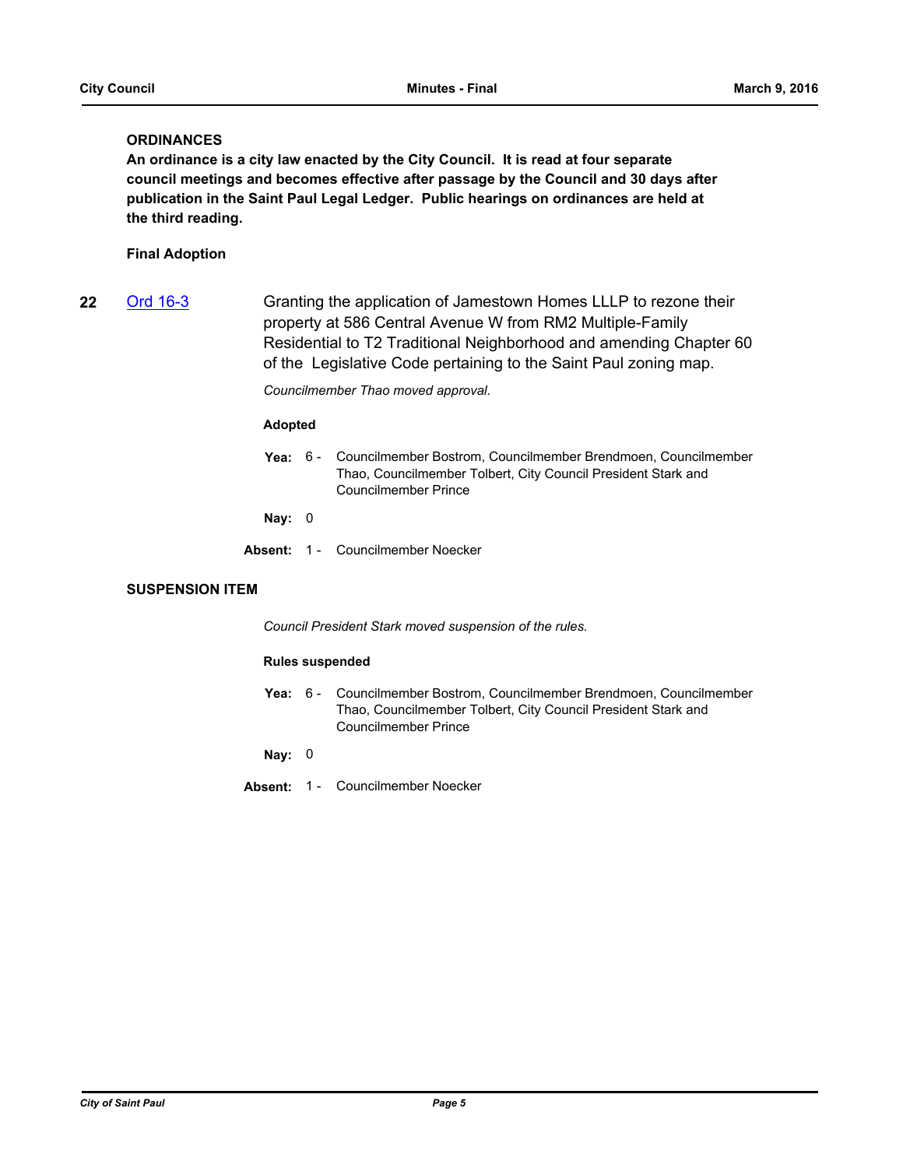# **ORDINANCES**

**An ordinance is a city law enacted by the City Council. It is read at four separate council meetings and becomes effective after passage by the Council and 30 days after publication in the Saint Paul Legal Ledger. Public hearings on ordinances are held at the third reading.**

# **Final Adoption**

**22** [Ord 16-3](http://stpaul.legistar.com/gateway.aspx?m=l&id=/matter.aspx?key=20914) Granting the application of Jamestown Homes LLLP to rezone their property at 586 Central Avenue W from RM2 Multiple-Family Residential to T2 Traditional Neighborhood and amending Chapter 60 of the Legislative Code pertaining to the Saint Paul zoning map.

*Councilmember Thao moved approval.*

## **Adopted**

**Yea:** Councilmember Bostrom, Councilmember Brendmoen, Councilmember Thao, Councilmember Tolbert, City Council President Stark and Councilmember Prince Yea: 6 -

**Nay:** 0

**Absent:** 1 - Councilmember Noecker

## **SUSPENSION ITEM**

*Council President Stark moved suspension of the rules.*

#### **Rules suspended**

Yea: 6 - Councilmember Bostrom, Councilmember Brendmoen, Councilmember Thao, Councilmember Tolbert, City Council President Stark and Councilmember Prince

**Nay:** 0

**Absent:** 1 - Councilmember Noecker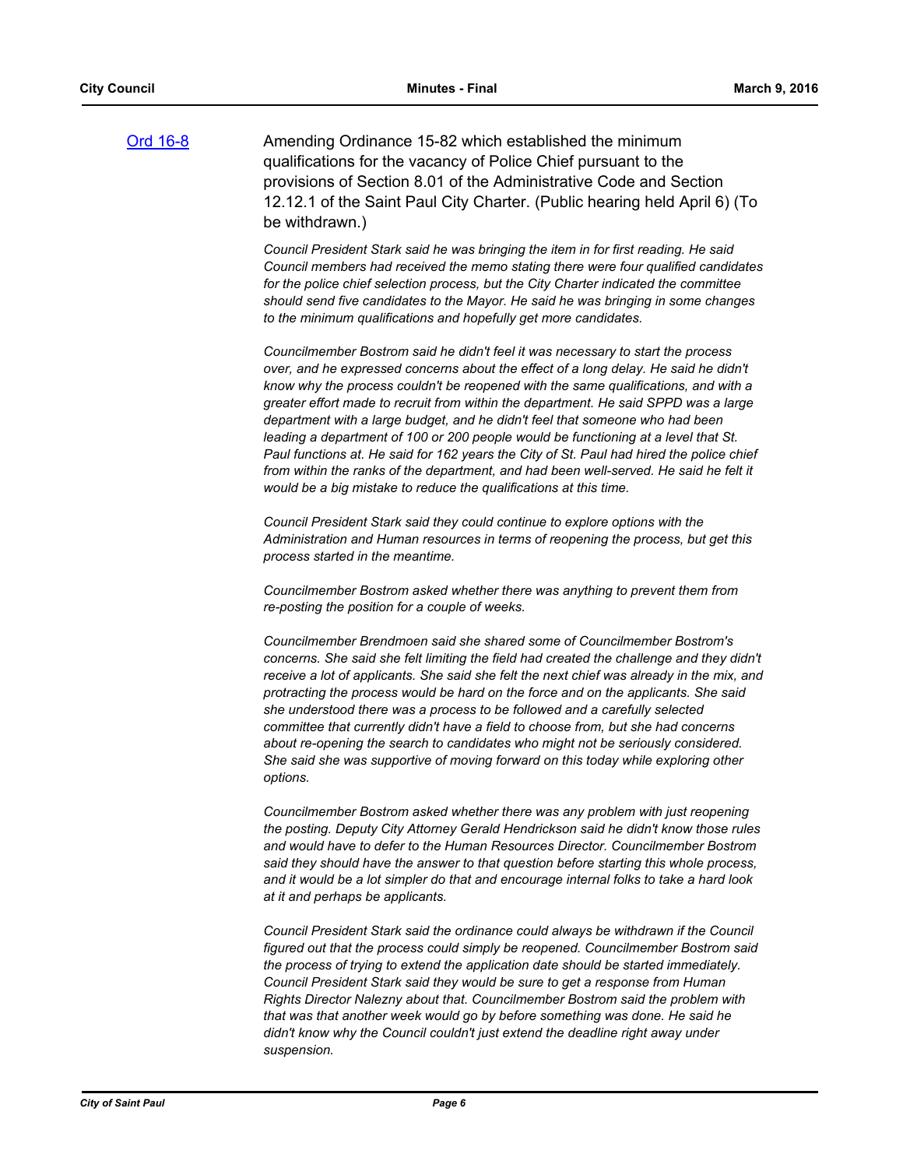[Ord 16-8](http://stpaul.legistar.com/gateway.aspx?m=l&id=/matter.aspx?key=21173) Amending Ordinance 15-82 which established the minimum qualifications for the vacancy of Police Chief pursuant to the provisions of Section 8.01 of the Administrative Code and Section 12.12.1 of the Saint Paul City Charter. (Public hearing held April 6) (To be withdrawn.)

> *Council President Stark said he was bringing the item in for first reading. He said Council members had received the memo stating there were four qualified candidates*  for the police chief selection process, but the City Charter indicated the committee *should send five candidates to the Mayor. He said he was bringing in some changes to the minimum qualifications and hopefully get more candidates.*

> *Councilmember Bostrom said he didn't feel it was necessary to start the process over, and he expressed concerns about the effect of a long delay. He said he didn't know why the process couldn't be reopened with the same qualifications, and with a greater effort made to recruit from within the department. He said SPPD was a large department with a large budget, and he didn't feel that someone who had been leading a department of 100 or 200 people would be functioning at a level that St. Paul functions at. He said for 162 years the City of St. Paul had hired the police chief*  from within the ranks of the department, and had been well-served. He said he felt it *would be a big mistake to reduce the qualifications at this time.*

*Council President Stark said they could continue to explore options with the Administration and Human resources in terms of reopening the process, but get this process started in the meantime.*

*Councilmember Bostrom asked whether there was anything to prevent them from re-posting the position for a couple of weeks.*

*Councilmember Brendmoen said she shared some of Councilmember Bostrom's concerns. She said she felt limiting the field had created the challenge and they didn't receive a lot of applicants. She said she felt the next chief was already in the mix, and protracting the process would be hard on the force and on the applicants. She said she understood there was a process to be followed and a carefully selected committee that currently didn't have a field to choose from, but she had concerns about re-opening the search to candidates who might not be seriously considered. She said she was supportive of moving forward on this today while exploring other options.*

*Councilmember Bostrom asked whether there was any problem with just reopening the posting. Deputy City Attorney Gerald Hendrickson said he didn't know those rules and would have to defer to the Human Resources Director. Councilmember Bostrom said they should have the answer to that question before starting this whole process, and it would be a lot simpler do that and encourage internal folks to take a hard look at it and perhaps be applicants.*

Council President Stark said the ordinance could always be withdrawn if the Council *figured out that the process could simply be reopened. Councilmember Bostrom said the process of trying to extend the application date should be started immediately. Council President Stark said they would be sure to get a response from Human Rights Director Nalezny about that. Councilmember Bostrom said the problem with that was that another week would go by before something was done. He said he didn't know why the Council couldn't just extend the deadline right away under suspension.*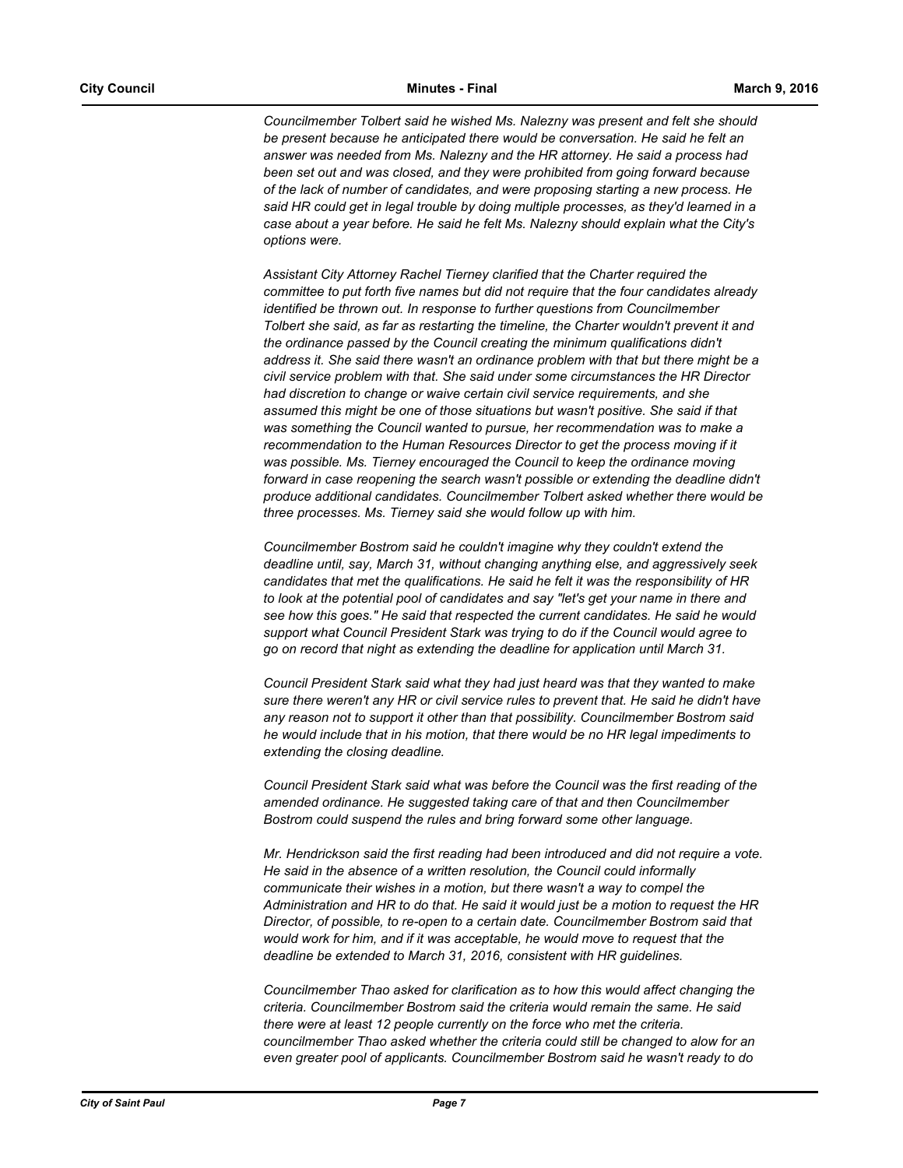*Councilmember Tolbert said he wished Ms. Nalezny was present and felt she should be present because he anticipated there would be conversation. He said he felt an answer was needed from Ms. Nalezny and the HR attorney. He said a process had been set out and was closed, and they were prohibited from going forward because of the lack of number of candidates, and were proposing starting a new process. He said HR could get in legal trouble by doing multiple processes, as they'd learned in a case about a year before. He said he felt Ms. Nalezny should explain what the City's options were.*

*Assistant City Attorney Rachel Tierney clarified that the Charter required the committee to put forth five names but did not require that the four candidates already identified be thrown out. In response to further questions from Councilmember Tolbert she said, as far as restarting the timeline, the Charter wouldn't prevent it and the ordinance passed by the Council creating the minimum qualifications didn't address it. She said there wasn't an ordinance problem with that but there might be a civil service problem with that. She said under some circumstances the HR Director had discretion to change or waive certain civil service requirements, and she assumed this might be one of those situations but wasn't positive. She said if that was something the Council wanted to pursue, her recommendation was to make a*  recommendation to the Human Resources Director to get the process moving if it was possible. Ms. Tierney encouraged the Council to keep the ordinance moving forward in case reopening the search wasn't possible or extending the deadline didn't *produce additional candidates. Councilmember Tolbert asked whether there would be three processes. Ms. Tierney said she would follow up with him.*

*Councilmember Bostrom said he couldn't imagine why they couldn't extend the deadline until, say, March 31, without changing anything else, and aggressively seek candidates that met the qualifications. He said he felt it was the responsibility of HR to look at the potential pool of candidates and say "let's get your name in there and see how this goes." He said that respected the current candidates. He said he would support what Council President Stark was trying to do if the Council would agree to go on record that night as extending the deadline for application until March 31.*

*Council President Stark said what they had just heard was that they wanted to make sure there weren't any HR or civil service rules to prevent that. He said he didn't have any reason not to support it other than that possibility. Councilmember Bostrom said he would include that in his motion, that there would be no HR legal impediments to extending the closing deadline.*

*Council President Stark said what was before the Council was the first reading of the amended ordinance. He suggested taking care of that and then Councilmember Bostrom could suspend the rules and bring forward some other language.*

*Mr. Hendrickson said the first reading had been introduced and did not require a vote. He said in the absence of a written resolution, the Council could informally communicate their wishes in a motion, but there wasn't a way to compel the Administration and HR to do that. He said it would just be a motion to request the HR Director, of possible, to re-open to a certain date. Councilmember Bostrom said that*  would work for him, and if it was acceptable, he would move to request that the *deadline be extended to March 31, 2016, consistent with HR guidelines.*

*Councilmember Thao asked for clarification as to how this would affect changing the criteria. Councilmember Bostrom said the criteria would remain the same. He said there were at least 12 people currently on the force who met the criteria. councilmember Thao asked whether the criteria could still be changed to alow for an even greater pool of applicants. Councilmember Bostrom said he wasn't ready to do*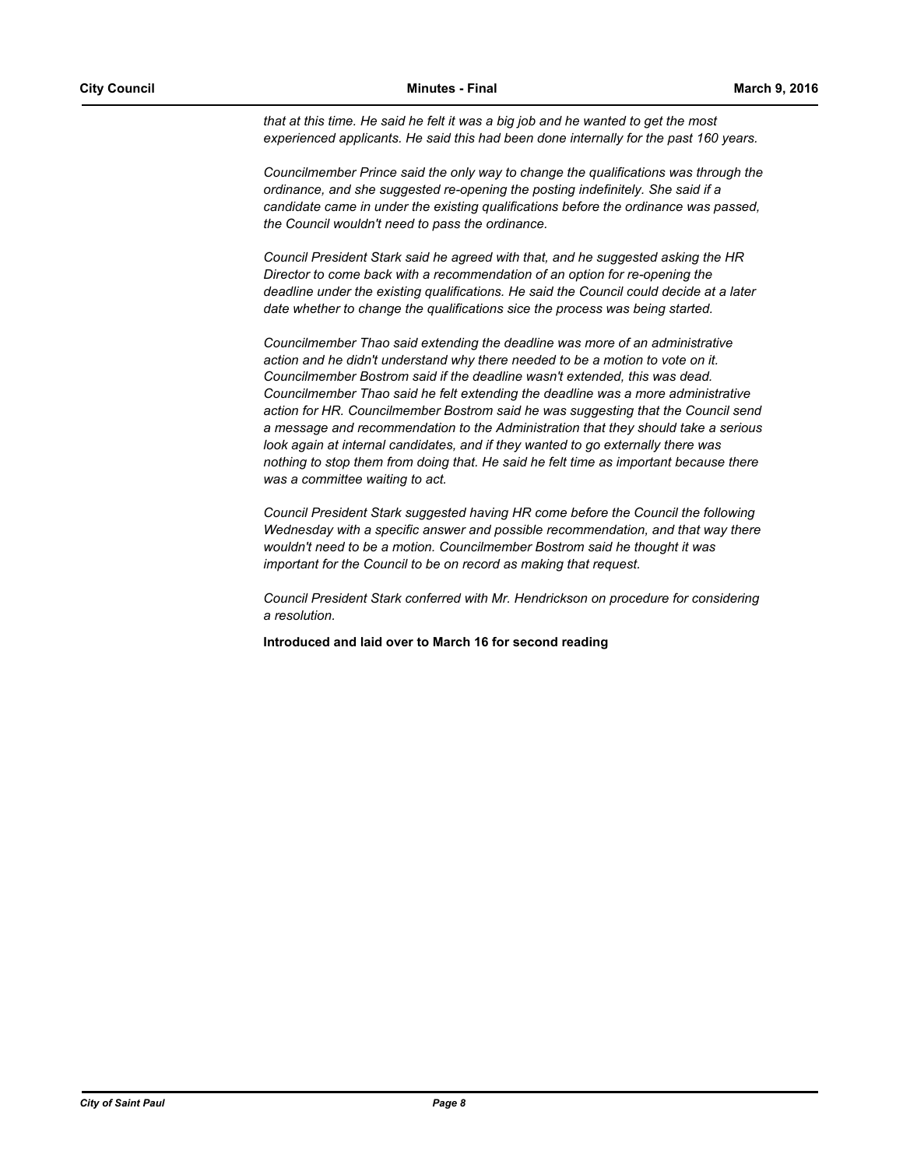*that at this time. He said he felt it was a big job and he wanted to get the most experienced applicants. He said this had been done internally for the past 160 years.*

*Councilmember Prince said the only way to change the qualifications was through the ordinance, and she suggested re-opening the posting indefinitely. She said if a candidate came in under the existing qualifications before the ordinance was passed, the Council wouldn't need to pass the ordinance.*

*Council President Stark said he agreed with that, and he suggested asking the HR Director to come back with a recommendation of an option for re-opening the deadline under the existing qualifications. He said the Council could decide at a later date whether to change the qualifications sice the process was being started.*

*Councilmember Thao said extending the deadline was more of an administrative action and he didn't understand why there needed to be a motion to vote on it. Councilmember Bostrom said if the deadline wasn't extended, this was dead. Councilmember Thao said he felt extending the deadline was a more administrative action for HR. Councilmember Bostrom said he was suggesting that the Council send a message and recommendation to the Administration that they should take a serious look again at internal candidates, and if they wanted to go externally there was nothing to stop them from doing that. He said he felt time as important because there was a committee waiting to act.*

*Council President Stark suggested having HR come before the Council the following Wednesday with a specific answer and possible recommendation, and that way there wouldn't need to be a motion. Councilmember Bostrom said he thought it was important for the Council to be on record as making that request.*

*Council President Stark conferred with Mr. Hendrickson on procedure for considering a resolution.*

**Introduced and laid over to March 16 for second reading**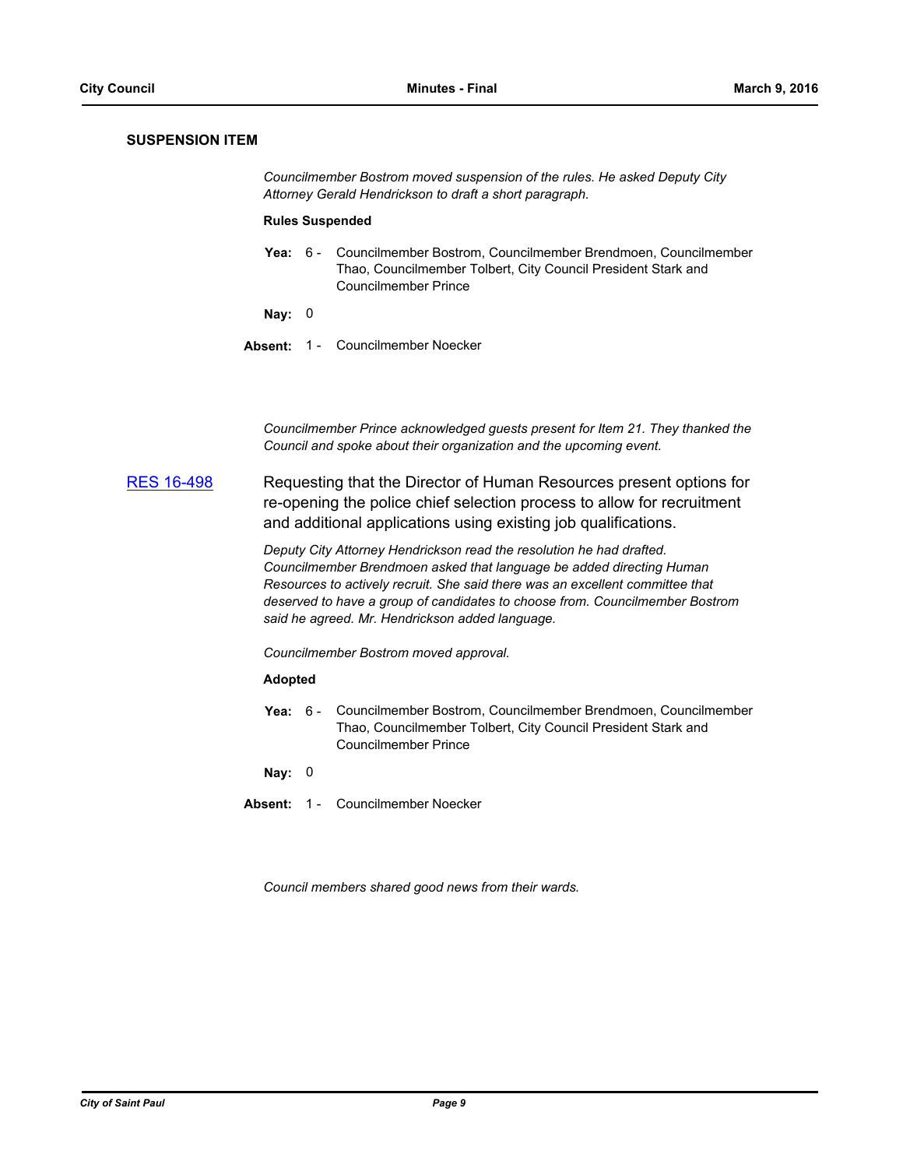# **SUSPENSION ITEM**

*Councilmember Bostrom moved suspension of the rules. He asked Deputy City Attorney Gerald Hendrickson to draft a short paragraph.*

#### **Rules Suspended**

**Yea:** Councilmember Bostrom, Councilmember Brendmoen, Councilmember Thao, Councilmember Tolbert, City Council President Stark and Councilmember Prince Yea:  $6 -$ 

**Nay:** 0

**Absent:** 1 - Councilmember Noecker

*Councilmember Prince acknowledged guests present for Item 21. They thanked the Council and spoke about their organization and the upcoming event.*

[RES 16-498](http://stpaul.legistar.com/gateway.aspx?m=l&id=/matter.aspx?key=21198) Requesting that the Director of Human Resources present options for re-opening the police chief selection process to allow for recruitment and additional applications using existing job qualifications.

> *Deputy City Attorney Hendrickson read the resolution he had drafted. Councilmember Brendmoen asked that language be added directing Human Resources to actively recruit. She said there was an excellent committee that deserved to have a group of candidates to choose from. Councilmember Bostrom said he agreed. Mr. Hendrickson added language.*

*Councilmember Bostrom moved approval.*

#### **Adopted**

**Yea:** Councilmember Bostrom, Councilmember Brendmoen, Councilmember Thao, Councilmember Tolbert, City Council President Stark and Councilmember Prince Yea:  $6 -$ 

**Nay:** 0

**Absent:** 1 - Councilmember Noecker

*Council members shared good news from their wards.*